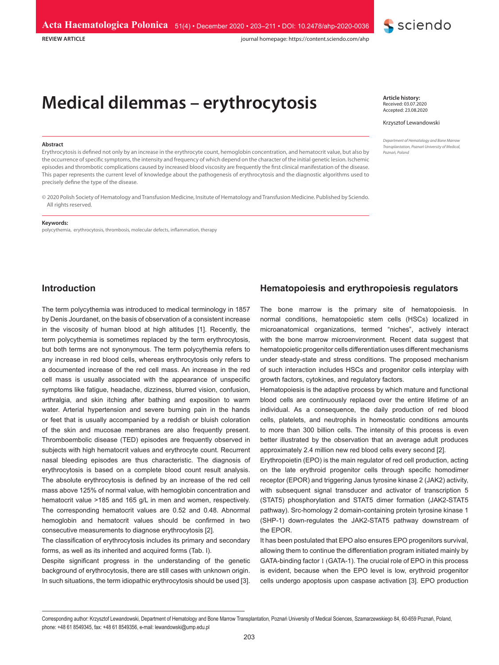

journal homepage: https://content.sciendo.com/ahp

# **Medical dilemmas – erythrocytosis**

#### **Abstract**

**REVIEW ARTICLE**

Erythrocytosis is defined not only by an increase in the erythrocyte count, hemoglobin concentration, and hematocrit value, but also by the occurrence of specific symptoms, the intensity and frequency of which depend on the character of the initial genetic lesion. Ischemic episodes and thrombotic complications caused by increased blood viscosity are frequently the first clinical manifestation of the disease. This paper represents the current level of knowledge about the pathogenesis of erythrocytosis and the diagnostic algorithms used to precisely define the type of the disease.

© 2020 Polish Society of Hematology and Transfusion Medicine, Insitute of Hematology and Transfusion Medicine. Published by Sciendo. All rights reserved.

#### **Keywords:**

polycythemia, erythrocytosis, thrombosis, molecular defects, inflammation, therapy

**Article history:** Received: 03.07.2020 Accepted: 23.08.2020

#### Krzysztof Lewandowski

*Department of Hematology and Bone Marrow Transplantation, Poznań University of Medical, Poznań, Poland*

#### **Introduction**

The term polycythemia was introduced to medical terminology in 1857 by Denis Jourdanet, on the basis of observation of a consistent increase in the viscosity of human blood at high altitudes [1]. Recently, the term polycythemia is sometimes replaced by the term erythrocytosis, but both terms are not synonymous. The term polycythemia refers to any increase in red blood cells, whereas erythrocytosis only refers to a documented increase of the red cell mass. An increase in the red cell mass is usually associated with the appearance of unspecific symptoms like fatigue, headache, dizziness, blurred vision, confusion, arthralgia, and skin itching after bathing and exposition to warm water. Arterial hypertension and severe burning pain in the hands or feet that is usually accompanied by a reddish or bluish coloration of the skin and mucosae membranes are also frequently present. Thromboembolic disease (TED) episodes are frequently observed in subjects with high hematocrit values and erythrocyte count. Recurrent nasal bleeding episodes are thus characteristic. The diagnosis of erythrocytosis is based on a complete blood count result analysis. The absolute erythrocytosis is defined by an increase of the red cell mass above 125% of normal value, with hemoglobin concentration and hematocrit value >185 and 165 g/L in men and women, respectively. The corresponding hematocrit values are 0.52 and 0.48. Abnormal hemoglobin and hematocrit values should be confirmed in two consecutive measurements to diagnose erythrocytosis [2].

The classification of erythrocytosis includes its primary and secondary forms, as well as its inherited and acquired forms (Tab. I).

Despite significant progress in the understanding of the genetic background of erythrocytosis, there are still cases with unknown origin. In such situations, the term idiopathic erythrocytosis should be used [3].

## **Hematopoiesis and erythropoiesis regulators**

The bone marrow is the primary site of hematopoiesis. In normal conditions, hematopoietic stem cells (HSCs) localized in microanatomical organizations, termed "niches", actively interact with the bone marrow microenvironment. Recent data suggest that hematopoietic progenitor cells differentiation uses different mechanisms under steady-state and stress conditions. The proposed mechanism of such interaction includes HSCs and progenitor cells interplay with growth factors, cytokines, and regulatory factors.

Hematopoiesis is the adaptive process by which mature and functional blood cells are continuously replaced over the entire lifetime of an individual. As a consequence, the daily production of red blood cells, platelets, and neutrophils in homeostatic conditions amounts to more than 300 billion cells. The intensity of this process is even better illustrated by the observation that an average adult produces approximately 2.4 million new red blood cells every second [2].

Erythropoietin (EPO) is the main regulator of red cell production, acting on the late erythroid progenitor cells through specific homodimer receptor (EPOR) and triggering Janus tyrosine kinase 2 (JAK2) activity, with subsequent signal transducer and activator of transcription 5 (STAT5) phosphorylation and STAT5 dimer formation (JAK2-STAT5 pathway). Src-homology 2 domain-containing protein tyrosine kinase 1 (SHP-1) down-regulates the JAK2-STAT5 pathway downstream of the EPOR.

It has been postulated that EPO also ensures EPO progenitors survival, allowing them to continue the differentiation program initiated mainly by GATA-binding factor 1 (GATA-1). The crucial role of EPO in this process is evident, because when the EPO level is low, erythroid progenitor cells undergo apoptosis upon caspase activation [3]. EPO production

Corresponding author: Krzysztof Lewandowski, Department of Hematology and Bone Marrow Transplantation, Poznań University of Medical Sciences, Szamarzewskiego 84, 60-659 Poznań, Poland, phone: +48 61 8549345, fax: +48 61 8549356, e-mail: lewandowski@ump.edu.pl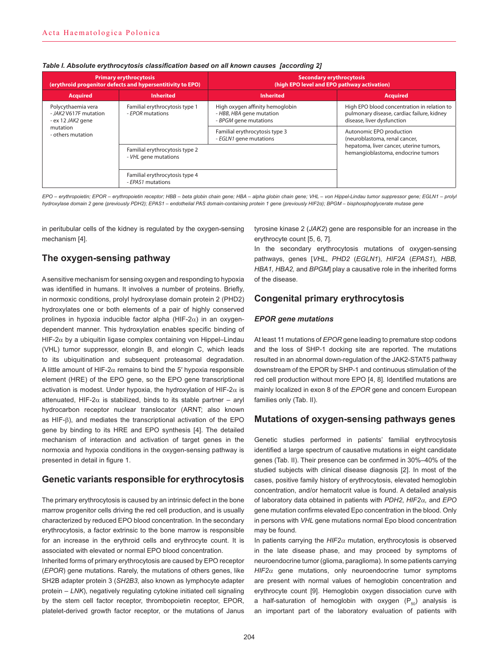| <b>Primary erythrocytosis</b><br>(erythroid progenitor defects and hypersentitivity to EPO)         |                                                        | <b>Secondary erythrocytosis</b><br>(high EPO level and EPO pathway activation)       |                                                                                                                         |  |
|-----------------------------------------------------------------------------------------------------|--------------------------------------------------------|--------------------------------------------------------------------------------------|-------------------------------------------------------------------------------------------------------------------------|--|
| <b>Acquired</b>                                                                                     | <b>Inherited</b>                                       | <b>Inherited</b>                                                                     | <b>Acquired</b>                                                                                                         |  |
| Polycythaemia vera<br>- JAK2 V617F mutation<br>$-$ ex 12 JAK2 gene<br>mutation<br>- others mutation | Familial erythrocytosis type 1<br>- EPOR mutations     | High oxygen affinity hemoglobin<br>- HBB, HBA gene mutation<br>- BPGM gene mutations | High EPO blood concentration in relation to<br>pulmonary disease, cardiac failure, kidney<br>disease, liver dysfunction |  |
|                                                                                                     |                                                        | Familial erythrocytosis type 3<br>- EGLN1 gene mutations                             | Autonomic EPO production<br>(neuroblastoma, renal cancer,                                                               |  |
|                                                                                                     | Familial erythrocytosis type 2<br>- VHL gene mutations |                                                                                      | hepatoma, liver cancer, uterine tumors,<br>hemangioblastoma, endocrine tumors                                           |  |
|                                                                                                     | Familial erythrocytosis type 4<br>- EPAS1 mutations    |                                                                                      |                                                                                                                         |  |

#### *Table I. Absolute erythrocytosis classification based on all known causes [according 2]*

*EPO – erythropoietin; EPOR – erythropoietin receptor; HBB – beta globin chain gene; HBA – alpha globin chain gene; VHL – von Hippel-Lindau tumor suppressor gene; EGLN1 – prolyl hydroxylase domain 2 gene (previously PDH2); EPAS1 – endothelial PAS domain-containing protein 1 gene (previously HIF2α); BPGM – bisphosphoglycerate mutase gene*

in peritubular cells of the kidney is regulated by the oxygen-sensing mechanism [4].

# **The oxygen-sensing pathway**

A sensitive mechanism for sensing oxygen and responding to hypoxia was identified in humans. It involves a number of proteins. Briefly, in normoxic conditions, prolyl hydroxylase domain protein 2 (PHD2) hydroxylates one or both elements of a pair of highly conserved prolines in hypoxia inducible factor alpha (HIF-2 $\alpha$ ) in an oxygendependent manner. This hydroxylation enables specific binding of HIF-2 $\alpha$  by a ubiquitin ligase complex containing von Hippel–Lindau (VHL) tumor suppressor, elongin B, and elongin C, which leads to its ubiquitination and subsequent proteasomal degradation. A little amount of HIF-2 $\alpha$  remains to bind the 5' hypoxia responsible element (HRE) of the EPO gene, so the EPO gene transcriptional activation is modest. Under hypoxia, the hydroxylation of HIF-2 $\alpha$  is attenuated, HIF-2 $\alpha$  is stabilized, binds to its stable partner – aryl hydrocarbon receptor nuclear translocator (ARNT; also known as HIF- $\beta$ ), and mediates the transcriptional activation of the EPO gene by binding to its HRE and EPO synthesis [4]. The detailed mechanism of interaction and activation of target genes in the normoxia and hypoxia conditions in the oxygen-sensing pathway is presented in detail in figure 1.

## **Genetic variants responsible for erythrocytosis**

The primary erythrocytosis is caused by an intrinsic defect in the bone marrow progenitor cells driving the red cell production, and is usually characterized by reduced EPO blood concentration. In the secondary erythrocytosis, a factor extrinsic to the bone marrow is responsible for an increase in the erythroid cells and erythrocyte count. It is associated with elevated or normal EPO blood concentration.

Inherited forms of primary erythrocytosis are caused by EPO receptor (*EPOR*) gene mutations. Rarely, the mutations of others genes, like SH2B adapter protein 3 (*SH2B3*, also known as lymphocyte adapter protein – *LNK*), negatively regulating cytokine initiated cell signaling by the stem cell factor receptor, thrombopoietin receptor, EPOR, platelet-derived growth factor receptor, or the mutations of Janus

tyrosine kinase 2 (*JAK2*) gene are responsible for an increase in the erythrocyte count [5, 6, 7].

In the secondary erythrocytosis mutations of oxygen-sensing pathways, genes [*VHL*, *PHD2* (*EGLN1*), *HIF2A* (*EPAS1*), *HBB, HBA1, HBA2,* and *BPGM*] play a causative role in the inherited forms of the disease.

## **Congenital primary erythrocytosis**

#### *EPOR gene mutations*

At least 11 mutations of *EPOR* gene leading to premature stop codons and the loss of SHP-1 docking site are reported. The mutations resulted in an abnormal down-regulation of the JAK2-STAT5 pathway downstream of the EPOR by SHP-1 and continuous stimulation of the red cell production without more EPO [4, 8]. Identified mutations are mainly localized in exon 8 of the *EPOR* gene and concern European families only (Tab. II).

## **Mutations of oxygen-sensing pathways genes**

Genetic studies performed in patients' familial erythrocytosis identified a large spectrum of causative mutations in eight candidate genes (Tab. II). Their presence can be confirmed in 30%–40% of the studied subjects with clinical disease diagnosis [2]. In most of the cases, positive family history of erythrocytosis, elevated hemoglobin concentration, and/or hematocrit value is found. A detailed analysis of laboratory data obtained in patients with *PDH2*, *HIF2*a*,* and *EPO* gene mutation confirms elevated Epo concentration in the blood. Only in persons with *VHL* gene mutations normal Epo blood concentration may be found.

In patients carrying the  $HIF2\alpha$  mutation, erythrocytosis is observed in the late disease phase, and may proceed by symptoms of neuroendocrine tumor (glioma, paraglioma). In some patients carrying  $HIF2\alpha$  gene mutations, only neuroendocrine tumor symptoms are present with normal values of hemoglobin concentration and erythrocyte count [9]. Hemoglobin oxygen dissociation curve with a half-saturation of hemoglobin with oxygen  $(P_{50})$  analysis is an important part of the laboratory evaluation of patients with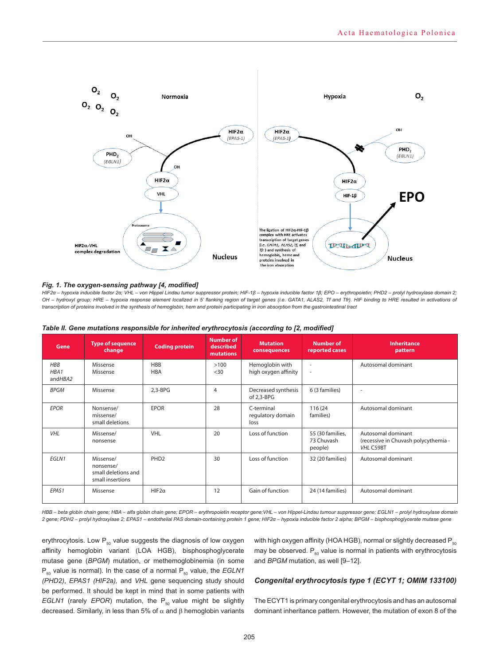

#### *Fig. 1. The oxygen-sensing pathway [4, modified]*

*HIF2α – hypoxia inducible factor 2α; VHL – von Hippel Lindau tumor suppressor protein; HIF-1β – hypoxia inducible factor 1β; EPO – erythropoietin; PHD2 – prolyl hydroxylase domain 2; OH – hydroxyl group; HRE – hypoxia response element localized in 5' flanking region of target genes (i.e. GATA1, ALAS2, Tf and Tfr). HIF binding to HRE resulted in activations of transcription of proteins involved in the synthesis of hemoglobin, hem and protein participating in iron absorption from the gastrointestinal tract* 

| Gene                          | <b>Type of sequence</b><br>change                                 | <b>Coding protein</b>    | <b>Number of</b><br>described<br><b>mutations</b> | <b>Mutation</b><br>consequences         | <b>Number of</b><br>reported cases                   | <b>Inheritance</b><br>pattern                                           |
|-------------------------------|-------------------------------------------------------------------|--------------------------|---------------------------------------------------|-----------------------------------------|------------------------------------------------------|-------------------------------------------------------------------------|
| <b>HBB</b><br>HBA1<br>andHBA2 | Missense<br>Missense                                              | <b>HBB</b><br><b>HBA</b> | >100<br>$30$                                      | Hemoglobin with<br>high oxygen affinity | $\overline{\phantom{a}}$<br>$\overline{\phantom{a}}$ | Autosomal dominant                                                      |
| <b>BPGM</b>                   | Missense                                                          | $2,3-BPG$                | $\overline{4}$                                    | Decreased synthesis<br>of 2,3-BPG       | 6 (3 families)                                       | ٠                                                                       |
| <b>EPOR</b>                   | Nonsense/<br>missense/<br>small deletions                         | <b>EPOR</b>              | 28                                                | C-terminal<br>regulatory domain<br>loss | 116 (24<br>families)                                 | Autosomal dominant                                                      |
| <b>VHL</b>                    | Missense/<br>nonsense                                             | <b>VHL</b>               | 20                                                | Loss of function                        | 55 (30 families,<br>73 Chuvash<br>people)            | Autosomal dominant<br>(recessive in Chuvash polycythemia -<br>VHL C598T |
| EGLN1                         | Missense/<br>nonsense/<br>small deletions and<br>small insertions | PHD <sub>2</sub>         | 30                                                | Loss of function                        | 32 (20 families)                                     | Autosomal dominant                                                      |
| EPAS1                         | Missense                                                          | $HIF2\alpha$             | 12                                                | Gain of function                        | 24 (14 families)                                     | Autosomal dominant                                                      |

| Table II. Gene mutations responsible for inherited erythrocytosis (according to [2, modified] |  |  |  |  |  |  |
|-----------------------------------------------------------------------------------------------|--|--|--|--|--|--|
|-----------------------------------------------------------------------------------------------|--|--|--|--|--|--|

*HBB – beta globin chain gene; HBA – alfa globin chain gene; EPOR – erythropoietin receptor gene;VHL – von Hippel-Lindau tumour suppressor gene; EGLN1 – prolyl hydroxylase domain 2 gene; PDH2 – prolyl hydroxylase 2; EPAS1 – endothelial PAS domain-containing protein 1 gene; HIF2α – hypoxia inducible factor 2 alpha; BPGM – bisphosphoglycerate mutase gene*

erythrocytosis. Low  $P_{50}$  value suggests the diagnosis of low oxygen affinity hemoglobin variant (LOA HGB), bisphosphoglycerate mutase gene (*BPGM*) mutation, or methemoglobinemia (in some P<sub>50</sub> value is normal). In the case of a normal P<sub>50</sub> value, the *EGLN1 (PHD2)*, *EPAS1 (HIF2*a*),* and *VHL* gene sequencing study should be performed. It should be kept in mind that in some patients with *EGLN1* (rarely *EPOR*) mutation, the  $P_{50}$  value might be slightly decreased. Similarly, in less than 5% of  $\alpha$  and  $\beta$  hemoglobin variants

with high oxygen affinity (HOA HGB), normal or slightly decreased  $P_{50}$ may be observed.  $P_{50}$  value is normal in patients with erythrocytosis and *BPGM* mutation, as well [9–12].

#### *Congenital erythrocytosis type 1 (ECYT 1; OMIM 133100)*

The ECYT1 is primary congenital erythrocytosis and has an autosomal dominant inheritance pattern. However, the mutation of exon 8 of the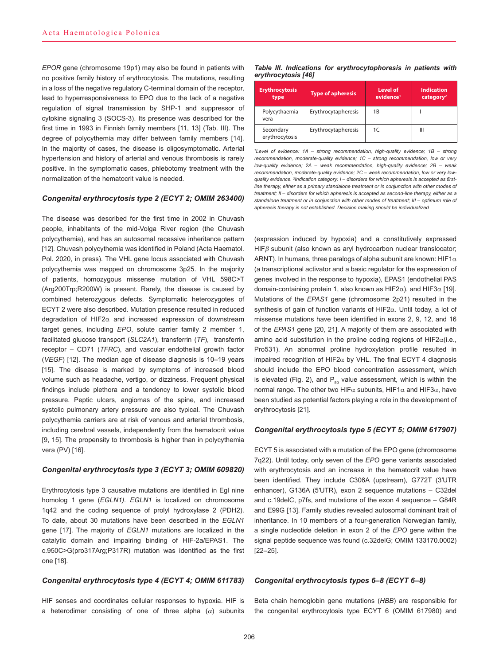*EPOR* gene (chromosome 19p1) may also be found in patients with no positive family history of erythrocytosis. The mutations, resulting in a loss of the negative regulatory C-terminal domain of the receptor, lead to hyperresponsiveness to EPO due to the lack of a negative regulation of signal transmission by SHP-1 and suppressor of cytokine signaling 3 (SOCS-3). Its presence was described for the first time in 1993 in Finnish family members [11, 13] (Tab. III). The degree of polycythemia may differ between family members [14]. In the majority of cases, the disease is oligosymptomatic. Arterial hypertension and history of arterial and venous thrombosis is rarely positive. In the symptomatic cases, phlebotomy treatment with the normalization of the hematocrit value is needed.

## *Congenital erythrocytosis type 2 (ECYT 2; OMIM 263400)*

The disease was described for the first time in 2002 in Chuvash people, inhabitants of the mid-Volga River region (the Chuvash polycythemia), and has an autosomal recessive inheritance pattern [12]. Chuvash polycythemia was identified in Poland (Acta Haematol. Pol. 2020, in press). The VHL gene locus associated with Chuvash polycythemia was mapped on chromosome 3p25. In the majority of patients, homozygous missense mutation of VHL 598C>T (Arg200Trp;R200W) is present. Rarely, the disease is caused by combined heterozygous defects. Symptomatic heterozygotes of ECYT 2 were also described. Mutation presence resulted in reduced degradation of HIF2 $\alpha$  and increased expression of downstream target genes, including *EPO*, solute carrier family 2 member 1, facilitated glucose transport (*SLC2A1*), transferrin (*TF*), transferrin receptor – CD71 (*TFRC*), and vascular endothelial growth factor (*VEGF*) [12]. The median age of disease diagnosis is 10–19 years [15]. The disease is marked by symptoms of increased blood volume such as headache, vertigo, or dizziness. Frequent physical findings include plethora and a tendency to lower systolic blood pressure. Peptic ulcers, angiomas of the spine, and increased systolic pulmonary artery pressure are also typical. The Chuvash polycythemia carriers are at risk of venous and arterial thrombosis, including cerebral vessels, independently from the hematocrit value [9, 15]. The propensity to thrombosis is higher than in polycythemia vera (PV) [16].

#### *Congenital erythrocytosis type 3 (ECYT 3; OMIM 609820)*

Erythrocytosis type 3 causative mutations are identified in Egl nine homolog 1 gene (*EGLN1)*. *EGLN1* is localized on chromosome 1q42 and the coding sequence of prolyl hydroxylase 2 (PDH2). To date, about 30 mutations have been described in the *EGLN1* gene [17]. The majority of *EGLN1* mutations are localized in the catalytic domain and impairing binding of HIF-2a/EPAS1. The c.950C>G(pro317Arg;P317R) mutation was identified as the first one [18].

#### *Congenital erythrocytosis type 4 (ECYT 4; OMIM 611783)*

HIF senses and coordinates cellular responses to hypoxia. HIF is a heterodimer consisting of one of three alpha  $(\alpha)$  subunits

*Table III. Indications for erythrocytophoresis in patients with erythrocytosis [46]*

| <b>Erythrocytosis</b><br>type | <b>Type of apheresis</b> | Level of<br>evidence <sup>1</sup> | Indication<br>category <sup>2</sup> |
|-------------------------------|--------------------------|-----------------------------------|-------------------------------------|
| Polycythaemia<br>vera         | Erythrocytapheresis      | 1B                                |                                     |
| Secondary<br>erythrocytosis   | Erythrocytapheresis      | 1C                                | Ш                                   |

<sup>1</sup>Level of evidence: 1A – strong recommendation, high-quality evidence; 1B – strong *recommendation, moderate-quality evidence; 1C – strong recommendation, low or very low-quality evidence; 2A – weak recommendation, high-quality evidence; 2B – weak recommendation, moderate-quality evidence; 2C – weak recommendation, low or very lowquality evidence. <sup>2</sup> Indication category: I – disorders for which apheresis is accepted as firstline therapy, either as a primary standalone treatment or in conjunction with other modes of treatment; II – disorders for which apheresis is accepted as second-line therapy, either as a standalone treatment or in conjunction with other modes of treatment; III – optimum role of apheresis therapy is not established. Decision making should be individualized*

(expression induced by hypoxia) and a constitutively expressed  $HIFB$  subunit (also known as aryl hydrocarbon nuclear translocator; ARNT). In humans, three paralogs of alpha subunit are known: HIF1 $\alpha$ (a transcriptional activator and a basic regulator for the expression of genes involved in the response to hypoxia), EPAS1 (endothelial PAS domain-containing protein 1, also known as HIF2 $\alpha$ ), and HIF3 $\alpha$  [19]. Mutations of the *EPAS1* gene (chromosome 2p21) resulted in the synthesis of gain of function variants of HIF2 $\alpha$ . Until today, a lot of missense mutations have been identified in exons 2, 9, 12, and 16 of the *EPAS1* gene [20, 21]. A majority of them are associated with amino acid substitution in the proline coding regions of HIF2 $\alpha$ (i.e., Pro531). An abnormal proline hydroxylation profile resulted in impaired recognition of HIF2 $\alpha$  by VHL. The final ECYT 4 diagnosis should include the EPO blood concentration assessment, which is elevated (Fig. 2), and  $P_{50}$  value assessment, which is within the normal range. The other two HIF $\alpha$  subunits, HIF1 $\alpha$  and HIF3 $\alpha$ , have been studied as potential factors playing a role in the development of erythrocytosis [21].

#### *Congenital erythrocytosis type 5 (ECYT 5; OMIM 617907)*

ECYT 5 is associated with a mutation of the EPO gene (chromosome 7q22). Until today, only seven of the *EPO* gene variants associated with erythrocytosis and an increase in the hematocrit value have been identified. They include C306A (upstream), G772T (3′UTR enhancer), G136A (5′UTR), exon 2 sequence mutations – C32del and c.19delC, p7fs, and mutations of the exon 4 sequence – G84R and E99G [13]. Family studies revealed autosomal dominant trait of inheritance. In 10 members of a four-generation Norwegian family, a single nucleotide deletion in exon 2 of the *EPO* gene within the signal peptide sequence was found (c.32delG; OMIM 133170.0002) [22–25].

## *Congenital erythrocytosis types 6–8 (ECYT 6–8)*

Beta chain hemoglobin gene mutations (*HBB*) are responsible for the congenital erythrocytosis type ECYT 6 (OMIM 617980) and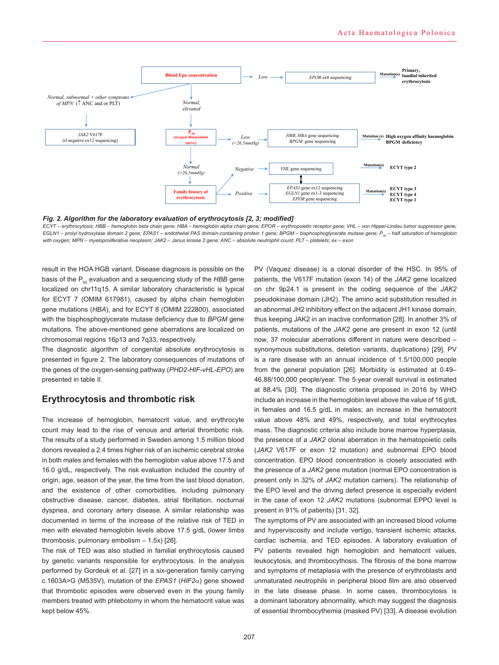

*Fig. 2. Algorithm for the laboratory evaluation of erythrocytosis [2, 3; modified]* 

*ECYT – erythrocytosis; HBB – hemoglobin beta chain gene; HBA – hemoglobin alpha chain gene; EPOR – erythropoietin receptor gene; VHL – von Hippel-Lindau tumor suppressor gene; EGLN1 – prolyl hydroxylase domain 2 gene; EPAS1 – endothelial PAS domain-containing protein 1 gene; BPGM – bisphosphoglycerate mutase gene; P<sub>eo</sub> – half saturation of hemoglobin with oxygen; MPN – myeloproliferative neoplasm; JAK2 – Janus kinase 2 gene; ANC – absolute neutrophil count; PLT – platelets; ex – exon* 

result in the HOA HGB variant. Disease diagnosis is possible on the basis of the P<sub>50</sub> evaluation and a sequencing study of the *HBB* gene localized on chr11q15. A similar laboratory characteristic is typical for ECYT 7 (OMIM 617981), caused by alpha chain hemoglobin gene mutations (*HBA*), and for ECYT 8 (OMIM 222800), associated with the bisphosphoglycerate mutase deficiency due to *BPGM* gene mutations. The above-mentioned gene aberrations are localized on chromosomal regions 16p13 and 7q33, respectively.

The diagnostic algorithm of congenital absolute erythrocytosis is presented in figure 2. The laboratory consequences of mutations of the genes of the oxygen-sensing pathway (*PHD2-HIF-vHL-EPO*) are presented in table II.

## **Erythrocytosis and thrombotic risk**

The increase of hemoglobin, hematocrit value, and erythrocyte count may lead to the rise of venous and arterial thrombotic risk. The results of a study performed in Sweden among 1.5 million blood donors revealed a 2.4 times higher risk of an ischemic cerebral stroke in both males and females with the hemoglobin value above 17.5 and 16.0 g/dL, respectively. The risk evaluation included the country of origin, age, season of the year, the time from the last blood donation, and the existence of other comorbidities, including pulmonary obstructive disease, cancer, diabetes, atrial fibrillation, nocturnal dyspnea, and coronary artery disease. A similar relationship was documented in terms of the increase of the relative risk of TED in men with elevated hemoglobin levels above 17.5 g/dL (lower limbs thrombosis, pulmonary embolism – 1.5x) [26].

The risk of TED was also studied in familial erythrocytosis caused by genetic variants responsible for erythrocytosis. In the analysis performed by Gordeuk et al. [27] in a six-generation family carrying c.1603A>G (M535V), mutation of the *EPAS1* (*HIF2*a) gene showed that thrombotic episodes were observed even in the young family members treated with phlebotomy in whom the hematocrit value was kept below 45%.

PV (Vaquez disease) is a clonal disorder of the HSC. In 95% of patients, the V617F mutation (exon 14) of the *JAK2* gene localized on chr 9p24.1 is present in the coding sequence of the *JAK2*  pseudokinase domain (JH2). The amino acid substitution resulted in an abnormal JH2 inhibitory effect on the adjacent JH1 kinase domain, thus keeping JAK2 in an inactive conformation [28]. In another 3% of patients, mutations of the *JAK2* gene are present in exon 12 (until now, 37 molecular aberrations different in nature were described – synonymous substitutions, deletion variants, duplications) [29]. PV is a rare disease with an annual incidence of 1.5/100,000 people from the general population [26]. Morbidity is estimated at 0.49– 46.88/100,000 people/year. The 5-year overall survival is estimated at 88.4% [30]. The diagnostic criteria proposed in 2016 by WHO include an increase in the hemoglobin level above the value of 16 g/dL in females and 16.5 g/dL in males; an increase in the hematocrit value above 48% and 49%, respectively, and total erythrocytes mass. The diagnostic criteria also include bone marrow hyperplasia, the presence of a *JAK2* clonal aberration in the hematopoietic cells (*JAK2* V617F or exon 12 mutation) and subnormal EPO blood concentration. EPO blood concentration is closely associated with the presence of a *JAK2* gene mutation (normal EPO concentration is present only in 32% of *JAK2* mutation carriers). The relationship of the EPO level and the driving defect presence is especially evident in the case of exon 12 *JAK2* mutations (subnormal EPPO level is present in 91% of patients) [31, 32].

The symptoms of PV are associated with an increased blood volume and hyperviscosity and include vertigo, transient ischemic attacks, cardiac ischemia, and TED episodes. A laboratory evaluation of PV patients revealed high hemoglobin and hematocrit values, leukocytosis, and thrombocythosis. The fibrosis of the bone marrow and symptoms of metaplasia with the presence of erythroblasts and unmaturated neutrophils in peripheral blood film are also observed in the late disease phase. In some cases, thrombocytosis is a dominant laboratory abnormality, which may suggest the diagnosis of essential thrombocythemia (masked PV) [33]. A disease evolution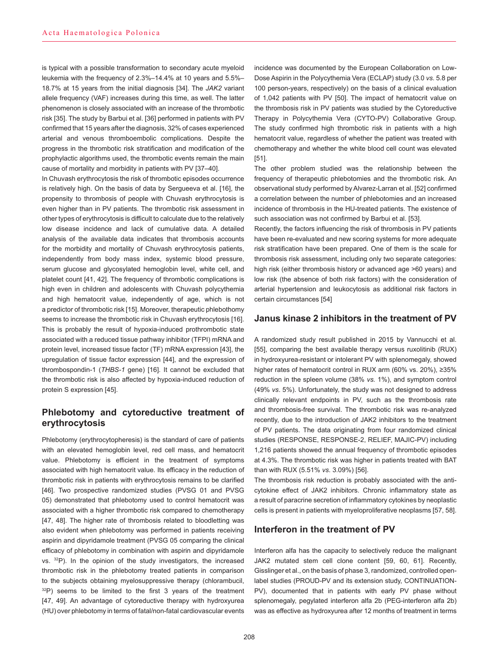is typical with a possible transformation to secondary acute myeloid leukemia with the frequency of 2.3%–14.4% at 10 years and 5.5%– 18.7% at 15 years from the initial diagnosis [34]. The *JAK2* variant allele frequency (VAF) increases during this time, as well. The latter phenomenon is closely associated with an increase of the thrombotic risk [35]. The study by Barbui et al. [36] performed in patients with PV confirmed that 15 years after the diagnosis, 32% of cases experienced arterial and venous thromboembolic complications. Despite the progress in the thrombotic risk stratification and modification of the prophylactic algorithms used, the thrombotic events remain the main cause of mortality and morbidity in patients with PV [37–40].

In Chuvash erythrocytosis the risk of thrombotic episodes occurrence is relatively high. On the basis of data by Sergueeva et al. [16], the propensity to thrombosis of people with Chuvash erythrocytosis is even higher than in PV patients. The thrombotic risk assessment in other types of erythrocytosis is difficult to calculate due to the relatively low disease incidence and lack of cumulative data. A detailed analysis of the available data indicates that thrombosis accounts for the morbidity and mortality of Chuvash erythrocytosis patients, independently from body mass index, systemic blood pressure, serum glucose and glycosylated hemoglobin level, white cell, and platelet count [41, 42]. The frequency of thrombotic complications is high even in children and adolescents with Chuvash polycythemia and high hematocrit value, independently of age, which is not a predictor of thrombotic risk [15]. Moreover, therapeutic phlebothomy seems to increase the thrombotic risk in Chuvash erythrocytosis [16]. This is probably the result of hypoxia-induced prothrombotic state associated with a reduced tissue pathway inhibitor (TFPI) mRNA and protein level, increased tissue factor (TF) mRNA expression [43], the upregulation of tissue factor expression [44], and the expression of thrombospondin-1 (*THBS-1* gene) [16]. It cannot be excluded that the thrombotic risk is also affected by hypoxia-induced reduction of protein S expression [45].

# **Phlebotomy and cytoreductive treatment of erythrocytosis**

Phlebotomy (erythrocytopheresis) is the standard of care of patients with an elevated hemoglobin level, red cell mass, and hematocrit value. Phlebotomy is efficient in the treatment of symptoms associated with high hematocrit value. Its efficacy in the reduction of thrombotic risk in patients with erythrocytosis remains to be clarified [46]. Two prospective randomized studies (PVSG 01 and PVSG 05) demonstrated that phlebotomy used to control hematocrit was associated with a higher thrombotic risk compared to chemotherapy [47, 48]. The higher rate of thrombosis related to bloodletting was also evident when phlebotomy was performed in patients receiving aspirin and dipyridamole treatment (PVSG 05 comparing the clinical efficacy of phlebotomy in combination with aspirin and dipyridamole vs. 32P). In the opinion of the study investigators, the increased thrombotic risk in the phlebotomy treated patients in comparison to the subjects obtaining myelosuppressive therapy (chlorambucil,  $32P$ ) seems to be limited to the first 3 years of the treatment [47, 49]. An advantage of cytoreductive therapy with hydroxyurea (HU) over phlebotomy in terms of fatal/non-fatal cardiovascular events

incidence was documented by the European Collaboration on Low-Dose Aspirin in the Polycythemia Vera (ECLAP) study (3.0 *vs*. 5.8 per 100 person-years, respectively) on the basis of a clinical evaluation of 1,042 patients with PV [50]. The impact of hematocrit value on the thrombosis risk in PV patients was studied by the Cytoreductive Therapy in Polycythemia Vera (CYTO-PV) Collaborative Group. The study confirmed high thrombotic risk in patients with a high hematocrit value, regardless of whether the patient was treated with chemotherapy and whether the white blood cell count was elevated [51].

The other problem studied was the relationship between the frequency of therapeutic phlebotomies and the thrombotic risk. An observational study performed by Alvarez-Larran et al. [52] confirmed a correlation between the number of phlebotomies and an increased incidence of thrombosis in the HU-treated patients. The existence of such association was not confirmed by Barbui et al. [53].

Recently, the factors influencing the risk of thrombosis in PV patients have been re-evaluated and new scoring systems for more adequate risk stratification have been prepared. One of them is the scale for thrombosis risk assessment, including only two separate categories: high risk (either thrombosis history or advanced age >60 years) and low risk (the absence of both risk factors) with the consideration of arterial hypertension and leukocytosis as additional risk factors in certain circumstances [54]

## **Janus kinase 2 inhibitors in the treatment of PV**

A randomized study result published in 2015 by Vannucchi et al. [55], comparing the best available therapy versus ruxolitinib (RUX) in hydroxyurea-resistant or intolerant PV with splenomegaly, showed higher rates of hematocrit control in RUX arm (60% vs. 20%), ≥35% reduction in the spleen volume (38% *vs.* 1%), and symptom control (49% *vs*. 5%). Unfortunately, the study was not designed to address clinically relevant endpoints in PV, such as the thrombosis rate and thrombosis-free survival. The thrombotic risk was re-analyzed recently, due to the introduction of JAK2 inhibitors to the treatment of PV patients. The data originating from four randomized clinical studies (RESPONSE, RESPONSE-2, RELIEF, MAJIC-PV) including 1,216 patients showed the annual frequency of thrombotic episodes at 4.3%. The thrombotic risk was higher in patients treated with BAT than with RUX (5.51% *vs*. 3.09%) [56].

The thrombosis risk reduction is probably associated with the anticytokine effect of JAK2 inhibitors. Chronic inflammatory state as a result of paracrine secretion of inflammatory cytokines by neoplastic cells is present in patients with myeloproliferative neoplasms [57, 58].

## **Interferon in the treatment of PV**

Interferon alfa has the capacity to selectively reduce the malignant JAK2 mutated stem cell clone content [59, 60, 61]. Recently, Gisslinger et al., on the basis of phase 3, randomized, controlled openlabel studies (PROUD-PV and its extension study, CONTINUATION-PV), documented that in patients with early PV phase without splenomegaly, pegylated interferon alfa 2b (PEG-interferon alfa 2b) was as effective as hydroxyurea after 12 months of treatment in terms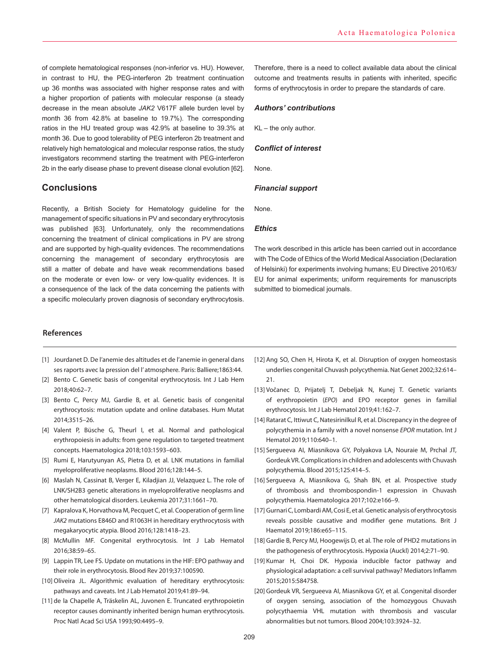of complete hematological responses (non-inferior vs. HU). However, in contrast to HU, the PEG-interferon 2b treatment continuation up 36 months was associated with higher response rates and with a higher proportion of patients with molecular response (a steady decrease in the mean absolute *JAK2* V617F allele burden level by month 36 from 42.8% at baseline to 19.7%). The corresponding ratios in the HU treated group was 42.9% at baseline to 39.3% at month 36. Due to good tolerability of PEG interferon 2b treatment and relatively high hematological and molecular response ratios, the study investigators recommend starting the treatment with PEG-interferon 2b in the early disease phase to prevent disease clonal evolution [62].

# **Conclusions**

Recently, a British Society for Hematology guideline for the management of specific situations in PV and secondary erythrocytosis was published [63]. Unfortunately, only the recommendations concerning the treatment of clinical complications in PV are strong and are supported by high-quality evidences. The recommendations concerning the management of secondary erythrocytosis are still a matter of debate and have weak recommendations based on the moderate or even low- or very low-quality evidences. It is a consequence of the lack of the data concerning the patients with a specific molecularly proven diagnosis of secondary erythrocytosis.

## Therefore, there is a need to collect available data about the clinical outcome and treatments results in patients with inherited, specific forms of erythrocytosis in order to prepare the standards of care.

#### *Authors' contributions*

KL – the only author.

#### *Conflict of interest*

None.

#### *Financial support*

None.

#### *Ethics*

The work described in this article has been carried out in accordance with The Code of Ethics of the World Medical Association (Declaration of Helsinki) for experiments involving humans; EU Directive 2010/63/ EU for animal experiments; uniform requirements for manuscripts submitted to biomedical journals.

## **References**

- [1] Jourdanet D. De l'anemie des altitudes et de l'anemie in general dans ses raports avec la pression del l' atmosphere. Paris: Balliere;1863:44.
- [2] Bento C. Genetic basis of congenital erythrocytosis. Int J Lab Hem 2018;40:62–7.
- [3] Bento C, Percy MJ, Gardie B, et al. Genetic basis of congenital erythrocytosis: mutation update and online databases. Hum Mutat 2014;3515–26.
- [4] Valent P, Büsche G, Theurl I, et al. Normal and pathological erythropoiesis in adults: from gene regulation to targeted treatment concepts. Haematologica 2018;103:1593–603.
- [5] Rumi E, Harutyunyan AS, Pietra D, et al. LNK mutations in familial myeloproliferative neoplasms. Blood 2016;128:144–5.
- [6] Maslah N, Cassinat B, Verger E, Kiladjian JJ, Velazquez L. The role of LNK/SH2B3 genetic alterations in myeloproliferative neoplasms and other hematological disorders. Leukemia 2017;31:1661–70.
- [7] Kapralova K, Horvathova M, Pecquet C, et al. Cooperation of germ line *JAK2* mutations E846D and R1063H in hereditary erythrocytosis with megakaryocytic atypia. Blood 2016;128:1418–23.
- [8] McMullin MF. Congenital erythrocytosis. Int J Lab Hematol 2016;38:59–65.
- [9] Lappin TR, Lee FS. Update on mutations in the HIF: EPO pathway and their role in erythrocytosis. Blood Rev 2019;37:100590.
- [10] Oliveira JL. Algorithmic evaluation of hereditary erythrocytosis: pathways and caveats. Int J Lab Hematol 2019;41:89–94.
- [11] de la Chapelle A, Träskelin AL, Juvonen E. Truncated erythropoietin receptor causes dominantly inherited benign human erythrocytosis. Proc Natl Acad Sci USA 1993;90:4495–9.
- [12] Ang SO, Chen H, Hirota K, et al. Disruption of oxygen homeostasis underlies congenital Chuvash polycythemia. Nat Genet 2002;32:614– 21.
- [13] Vočanec D, Prijatelj T, Debeljak N, Kunej T. Genetic variants of erythropoietin (*EPO*) and EPO receptor genes in familial erythrocytosis. Int J Lab Hematol 2019;41:162–7.
- [14] Ratarat C, Ittiwut C, Natesirinilkul R, et al. Discrepancy in the degree of polycythemia in a family with a novel nonsense *EPOR* mutation. Int J Hematol 2019;110:640–1.
- [15] Sergueeva AI, Miasnikova GY, Polyakova LA, Nouraie M, Prchal JT, Gordeuk VR. Complications in children and adolescents with Chuvash polycythemia. Blood 2015;125:414–5.
- [16] Sergueeva A, Miasnikova G, Shah BN, et al. Prospective study of thrombosis and thrombospondin-1 expression in Chuvash polycythemia. Haematologica 2017;102:e166–9.
- [17] Gurnari C, Lombardi AM, Cosi E, et al. Genetic analysis of erythrocytosis reveals possible causative and modifier gene mutations. Brit J Haematol 2019;186:e65–115.
- [18] Gardie B, Percy MJ, Hoogewijs D, et al. The role of PHD2 mutations in the pathogenesis of erythrocytosis. Hypoxia (Auckl) 2014;2:71–90.
- [19] Kumar H, Choi DK. Hypoxia inducible factor pathway and physiological adaptation: a cell survival pathway? Mediators Inflamm 2015;2015:584758.
- [20] Gordeuk VR, Sergueeva AI, Miasnikova GY, et al. Congenital disorder of oxygen sensing, association of the homozygous Chuvash polycythaemia VHL mutation with thrombosis and vascular abnormalities but not tumors. Blood 2004;103:3924–32.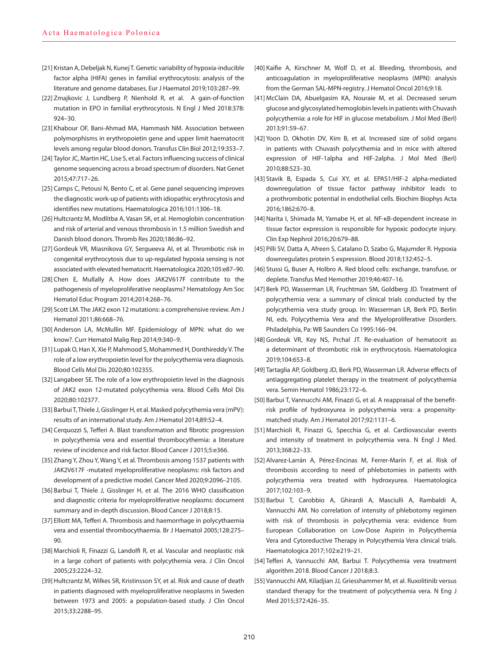- [21] Kristan A, Debeljak N, Kunej T. Genetic variability of hypoxia‐inducible factor alpha (HIFA) genes in familial erythrocytosis: analysis of the literature and genome databases. Eur J Haematol 2019;103:287–99.
- [22] Zmajkovic J, Lundberg P, Nienhold R, et al. A gain-of-function mutation in EPO in familial erythrocytosis. N Engl J Med 2018:378: 924–30.
- [23] Khabour OF, Bani‐Ahmad MA, Hammash NM. Association between polymorphisms in erythropoietin gene and upper limit haematocrit levels among regular blood donors. Transfus Clin Biol 2012;19:353–7.
- [24] Taylor JC, Martin HC, Lise S, et al. Factors influencing success of clinical genome sequencing across a broad spectrum of disorders. Nat Genet 2015;47:717–26.
- [25] Camps C, Petousi N, Bento C, et al. Gene panel sequencing improves the diagnostic work‐up of patients with idiopathic erythrocytosis and identifies new mutations. Haematologica 2016;101:1306–18.
- [26] Hultcrantz M, Modlitba A, Vasan SK, et al. Hemoglobin concentration and risk of arterial and venous thrombosis in 1.5 million Swedish and Danish blood donors. Thromb Res 2020;186:86–92.
- [27] Gordeuk VR, Miasnikova GY, Sergueeva AI, et al. Thrombotic risk in congenital erythrocytosis due to up-regulated hypoxia sensing is not associated with elevated hematocrit. Haematologica 2020;105:e87–90.
- [28] Chen E, Mullally A. How does JAK2V617F contribute to the pathogenesis of myeloproliferative neoplasms? Hematology Am Soc Hematol Educ Program 2014;2014:268–76.
- [29] Scott LM. The JAK2 exon 12 mutations: a comprehensive review. Am J Hematol 2011;86:668–76.
- [30] Anderson LA, McMullin MF. Epidemiology of MPN: what do we know?. Curr Hematol Malig Rep 2014;9:340–9.
- [31] Lupak O, Han X, Xie P, Mahmood S, Mohammed H, Donthireddy V. The role of a low erythropoietin level for the polycythemia vera diagnosis. Blood Cells Mol Dis 2020;80:102355.
- [32] Langabeer SE. The role of a low erythropoietin level in the diagnosis of JAK2 exon 12-mutated polycythemia vera. Blood Cells Mol Dis 2020;80:102377.
- [33] Barbui T, Thiele J, Gisslinger H, et al. Masked polycythemia vera (mPV): results of an international study. Am J Hematol 2014;89:52–4.
- [34] Cerquozzi S, Tefferi A. Blast transformation and fibrotic progression in polycythemia vera and essential thrombocythemia: a literature review of incidence and risk factor. Blood Cancer J 2015;5:e366.
- [35] Zhang Y, Zhou Y, Wang Y, et al. Thrombosis among 1537 patients with JAK2V617F -mutated myeloproliferative neoplasms: risk factors and development of a predictive model. Cancer Med 2020;9:2096–2105.
- [36] Barbui T, Thiele J, Gisslinger H, et al. The 2016 WHO classification and diagnostic criteria for myeloproliferative neoplasms: document summary and in-depth discussion. Blood Cancer J 2018;8:15.
- [37] Elliott MA, Tefferi A. Thrombosis and haemorrhage in polycythaemia vera and essential thrombocythaemia. Br J Haematol 2005;128:275– 90.
- [38] Marchioli R, Finazzi G, Landolfi R, et al. Vascular and neoplastic risk in a large cohort of patients with polycythemia vera. J Clin Oncol 2005;23:2224–32.
- [39] Hultcrantz M, Wilkes SR, Kristinsson SY, et al. Risk and cause of death in patients diagnosed with myeloproliferative neoplasms in Sweden between 1973 and 2005: a population-based study. J Clin Oncol 2015;33:2288–95.
- [40] Kaifie A, Kirschner M, Wolf D, et al. Bleeding, thrombosis, and anticoagulation in myeloproliferative neoplasms (MPN): analysis from the German SAL-MPN-registry. J Hematol Oncol 2016;9:18.
- [41] McClain DA, Abuelgasim KA, Nouraie M, et al. Decreased serum glucose and glycosylated hemoglobin levels in patients with Chuvash polycythemia: a role for HIF in glucose metabolism. J Mol Med (Berl) 2013;91:59–67.
- [42] Yoon D, Okhotin DV, Kim B, et al. Increased size of solid organs in patients with Chuvash polycythemia and in mice with altered expression of HIF-1alpha and HIF-2alpha. J Mol Med (Berl) 2010;88:523–30.
- [43] Stavik B, Espada S, Cui XY, et al. EPAS1/HIF-2 alpha-mediated downregulation of tissue factor pathway inhibitor leads to a prothrombotic potential in endothelial cells. Biochim Biophys Acta 2016;1862:670–8.
- [44] Narita I, Shimada M, Yamabe H, et al. NF-κB-dependent increase in tissue factor expression is responsible for hypoxic podocyte injury. Clin Exp Nephrol 2016;20:679–88.
- [45] Pilli SV, Datta A, Afreen S, Catalano D, Szabo G, Majumder R. Hypoxia downregulates protein S expression. Blood 2018;132:452–5.
- [46] Stussi G, Buser A, Holbro A. Red blood cells: exchange, transfuse, or deplete. Transfus Med Hemother 2019;46:407–16.
- [47] Berk PD, Wasserman LR, Fruchtman SM, Goldberg JD. Treatment of polycythemia vera: a summary of clinical trials conducted by the polycythemia vera study group. In: Wasserman LR, Berk PD, Berlin NI, eds. Polycythemia Vera and the Myeloproliferative Disorders. Philadelphia, Pa: WB Saunders Co 1995:166–94.
- [48] Gordeuk VR, Key NS, Prchal JT. Re-evaluation of hematocrit as a determinant of thrombotic risk in erythrocytosis. Haematologica 2019;104:653–8.
- [49] Tartaglia AP, Goldberg JD, Berk PD, Wasserman LR. Adverse effects of antiaggregating platelet therapy in the treatment of polycythemia vera. Semin Hematol 1986;23:172–6.
- [50] Barbui T, Vannucchi AM, Finazzi G, et al. A reappraisal of the benefitrisk profile of hydroxyurea in polycythemia vera: a propensitymatched study. Am J Hematol 2017;92:1131–6.
- [51] Marchioli R, Finazzi G, Specchia G, et al. Cardiovascular events and intensity of treatment in polycythemia vera. N Engl J Med. 2013;368:22–33.
- [52] Alvarez-Larrán A, Pérez-Encinas M, Ferrer-Marín F, et al. Risk of thrombosis according to need of phlebotomies in patients with polycythemia vera treated with hydroxyurea. Haematologica 2017;102:103–9.
- [53] Barbui T, Carobbio A, Ghirardi A, Masciulli A, Rambaldi A, Vannucchi AM. No correlation of intensity of phlebotomy regimen with risk of thrombosis in polycythemia vera: evidence from European Collaboration on Low-Dose Aspirin in Polycythemia Vera and Cytoreductive Therapy in Polycythemia Vera clinical trials. Haematologica 2017;102:e219–21.
- [54] Tefferi A, Vannucchi AM, Barbui T. Polycythemia vera treatment algorithm 2018. Blood Cancer J 2018;8:3.
- [55] Vannucchi AM, Kiladjian JJ, Griesshammer M, et al. Ruxolitinib versus standard therapy for the treatment of polycythemia vera. N Eng J Med 2015;372:426–35.